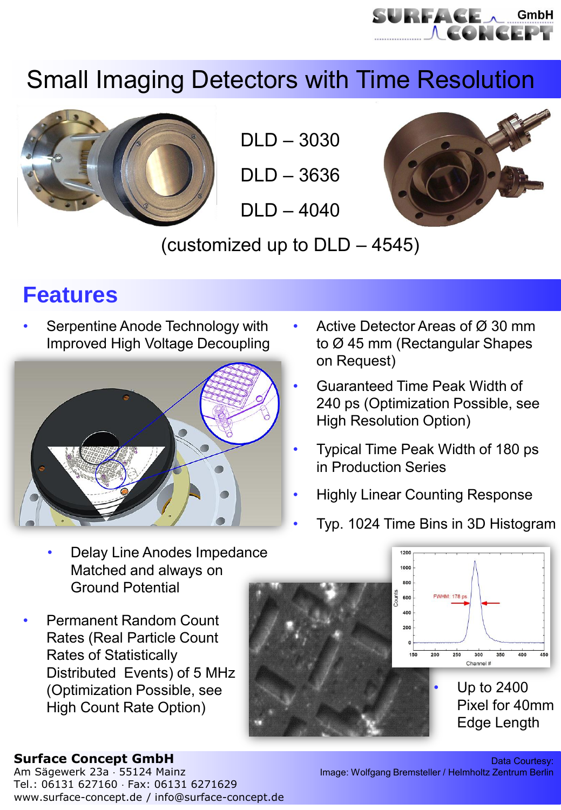

# Small Imaging Detectors with Time Resolution



DLD – 3030

DLD – 3636

 $DI$  D  $-$  4040



(customized up to DLD – 4545)

## **Features**

Serpentine Anode Technology with Improved High Voltage Decoupling



- Active Detector Areas of Ø 30 mm to Ø 45 mm (Rectangular Shapes on Request)
- Guaranteed Time Peak Width of 240 ps (Optimization Possible, see High Resolution Option)
- Typical Time Peak Width of 180 ps in Production Series
- Highly Linear Counting Response
- Typ. 1024 Time Bins in 3D Histogram
- Delay Line Anodes Impedance Matched and always on Ground Potential
- Permanent Random Count Rates (Real Particle Count Rates of Statistically Distributed Events) of 5 MHz (Optimization Possible, see High Count Rate Option)



### **Surface Concept GmbH**

Am Sägewerk 23a · 55124 Mainz Tel.: 06131 627160 Fax: 06131 6271629 www.surface-concept.de / info@surface-concept.de